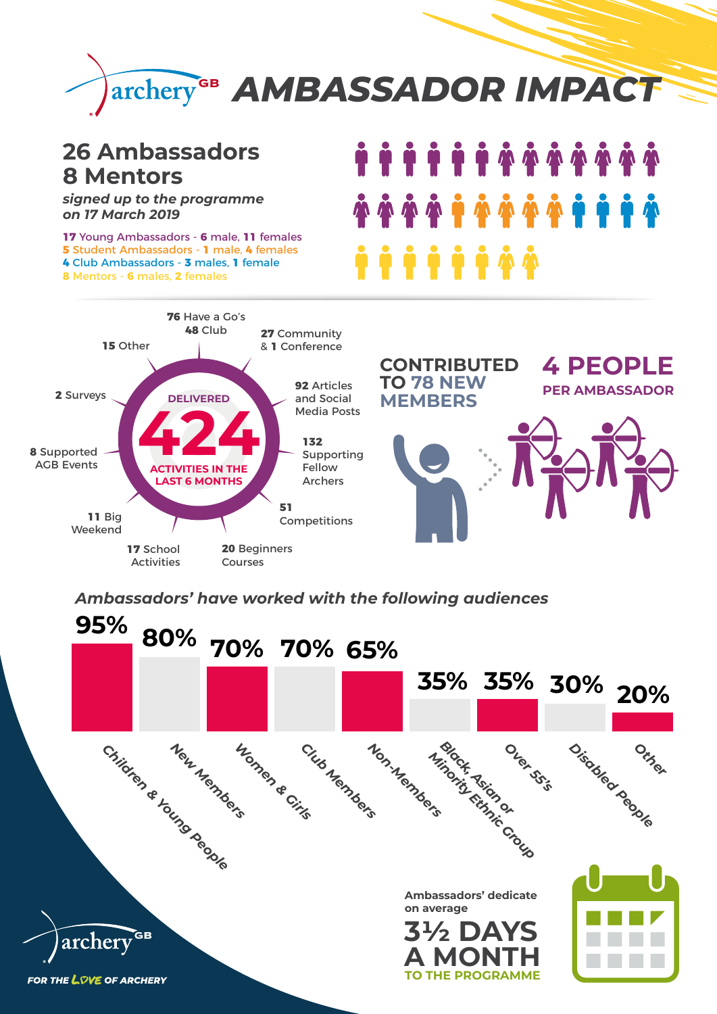

## **26 Ambassadors 8 Mentors**

*signed up to the programme on 17 March 2019*

 Young Ambassadors - **6** male, **11** females Student Ambassadors - **1** male, **4** females Club Ambassadors - **3** males, **1** female Mentors - **6** males, **2** females

## **15** Other **DELIVERED 424 ACTIVITIES IN THE LAST 6 MONTHS 76** Have a Go's **48** Club **27** Community & **1** Conference **92** Articles and Social Media Posts **132** Supporting Fellow Archers **51**  Competitions **20** Beginners Courses **17** School Activities **11** Big Weekend **8** Supported AGB Events **2** Surveys



**CONTRIBUTED** 

**TO 78 NEW** 



**4 PEOPLE**

**PER AMBASSADOR**

*Ambassadors' have worked with the following audiences*